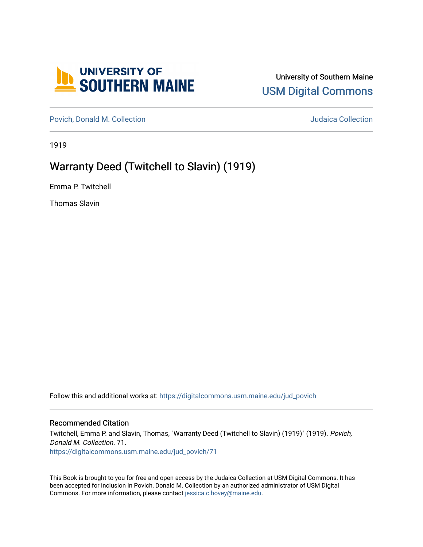

## University of Southern Maine [USM Digital Commons](https://digitalcommons.usm.maine.edu/)

[Povich, Donald M. Collection](https://digitalcommons.usm.maine.edu/jud_povich) **M. Automaker Collection** Judaica Collection

1919

# Warranty Deed (Twitchell to Slavin) (1919)

Emma P. Twitchell

Thomas Slavin

Follow this and additional works at: [https://digitalcommons.usm.maine.edu/jud\\_povich](https://digitalcommons.usm.maine.edu/jud_povich?utm_source=digitalcommons.usm.maine.edu%2Fjud_povich%2F71&utm_medium=PDF&utm_campaign=PDFCoverPages) 

### Recommended Citation

Twitchell, Emma P. and Slavin, Thomas, "Warranty Deed (Twitchell to Slavin) (1919)" (1919). Povich, Donald M. Collection. 71. [https://digitalcommons.usm.maine.edu/jud\\_povich/71](https://digitalcommons.usm.maine.edu/jud_povich/71?utm_source=digitalcommons.usm.maine.edu%2Fjud_povich%2F71&utm_medium=PDF&utm_campaign=PDFCoverPages)

This Book is brought to you for free and open access by the Judaica Collection at USM Digital Commons. It has been accepted for inclusion in Povich, Donald M. Collection by an authorized administrator of USM Digital Commons. For more information, please contact [jessica.c.hovey@maine.edu.](mailto:ian.fowler@maine.edu)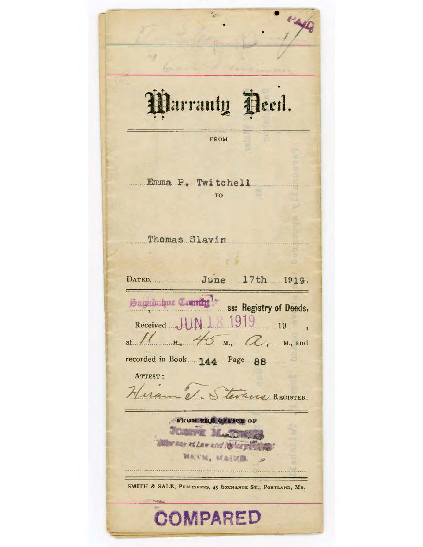Parranty Peed. **FROM** Emma P. Twitchell TO Thomas Slavin DATED, June 17th 1919. Sagad Luis Caenty<sup>1:</sup> ss: Registry of Deeds.<br>Received JUN 18 1919 19 at  $1/$  H,  $4/5$  M,  $\alpha$ , M, and recorded in Book 144 Page 88 ATTEST: Hiram et Stevans REGISTER. FROM THE OFFICE O Marsey at Law and No loggi 班点不是, 就本形式 SMITH & SALE, PUBLISHERS, 45 EXCHANGE ST., PORTLAND, MR. **COMPARED**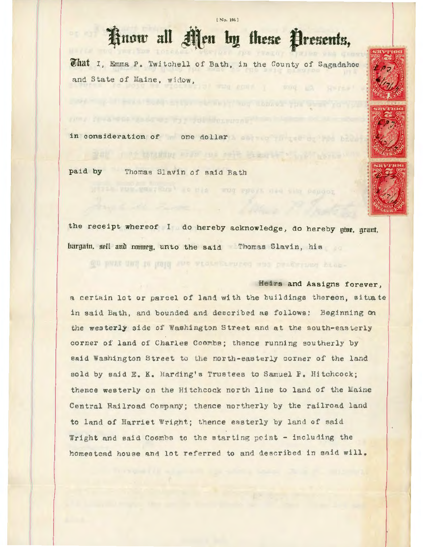#### [ No. 106 ]

# Know all Men by these Presents,

What I, Emma P. Twitchell of Bath, in the County of Sagadahoc and State of Maine, widow,

SAN I TO ESTANDAL FILM THE SENE BECAUSE TO LINE

in consideration of one dollar

paid by Thomas Slavin of said Bath







the receipt whereof I do hereby acknowledge, do hereby giue, grant. bargain, sell and rompen, unto the said Thomas Slavin, his

## Heirs and Assigns forever,

a certain lot or parcel of land with the buildings thereon, situate in said Bath, and bounded and described as follows: Beginning on the westerly side of Washington Street and at the south-easterly corner of land of Charles Coombs; thence running southerly by said Washington Street to the north-easterly corner of the land sold by said E. K. Harding's Trustees to Samuel P. Hitchcock; thence westerly on the Hitchcock north line to land of the Maine Central Railroad Company; thence northerly by the railroad land to land of Harriet Wright; thence easterly by land of said Wright and said Coombs to the starting point - including the homestead house and lot referred to and described in said will.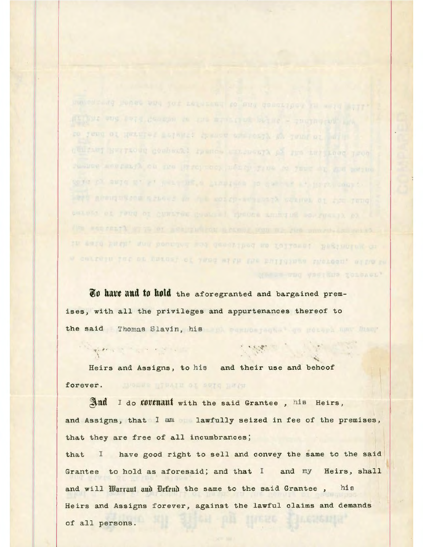namentand house and low reference to and demographed in weld still Welling and this county we are within the series - individual the so jeng of Returns metalet themes encrosyl at your of main Centeri Nettrond Combert: Ipence watercall of the Lat Lond Tron resume accreage on nie Missinoor word in fine as fare at god nervous to fa shi swin with the pearlor a company in general at high-couple any about the come of the the soldy-sensorth counts of the fund peaces of foug of custine genter I specke animate so result of The sensert with or sealthwiney acames win mr. Fire where in earl tach, and beaches and denoritors as followed. Beginning as a cartain lat or targel of inns with the bulldings insteam, alles in

who weerand toichet'

**i.o havt and t.o hold** the aforegranted and bargained premises, with all the privileges and appurtenances thereof to the said Thomas Slavin, his control the method of the manufacturer

.. Heirs and Assigns, to his and their use and behoof forever. MODER HIWAIN OI 2974 REPR

And I do *tovenant* with the said Grantee, his Heirs, and Assigns, that I am lawfully seized in fee of the premises, that they are free of all incumbrances;

that I have good right to sell and convey the same to the said Grantee to hold as aforesaid; and that I and my Heirs, shall and will Harrant and Drfrnd the same to the said Grantee, his Heirs and Assigns forever, against the lawful claims and demands of all persons.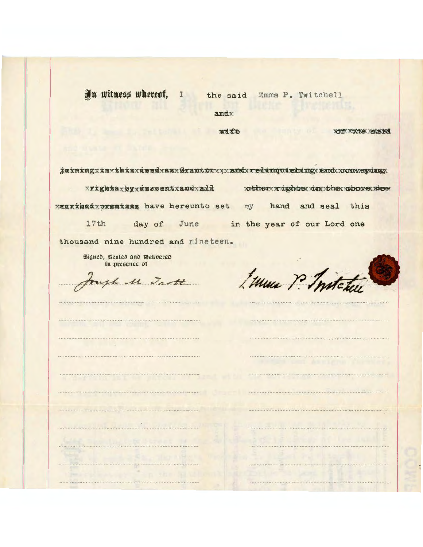In witness whereof, I the said Emma P. Twitchell

andx

wire

xouf xunne xearind

jainingxinxthisxdeedxasxGrantorxyxandxredinquishingxandxxonweydngx

xxightsxkyxdescentxandxall otherxrightsxdnxthexabovexdex xxxxibedxpxemises have hereunto set my hand and seal this 17th day of June in the year of our Lord one thousand nine hundred and nineteen.

Signed, Sealed and Delivered in presence of

ugh 11 Trott

Emma P. Instatus